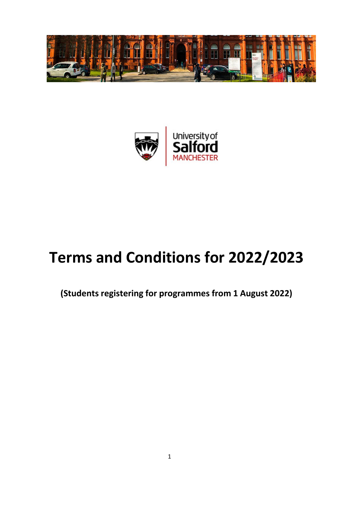



# **Terms and Conditions for 2022/2023**

**(Students registering for programmes from 1 August 2022)**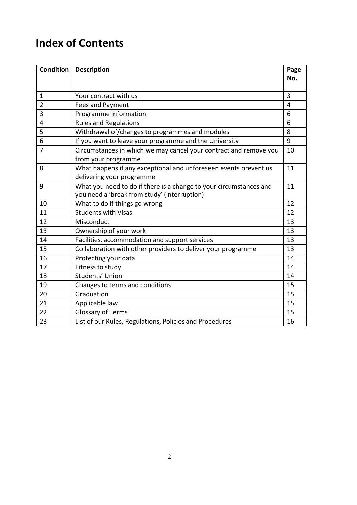## **Index of Contents**

| <b>Condition</b> | <b>Description</b>                                                                                                 | Page |
|------------------|--------------------------------------------------------------------------------------------------------------------|------|
|                  |                                                                                                                    | No.  |
| $\mathbf{1}$     | Your contract with us                                                                                              | 3    |
|                  |                                                                                                                    |      |
| $\overline{2}$   | Fees and Payment                                                                                                   | 4    |
| 3                | Programme Information                                                                                              | 6    |
| 4                | <b>Rules and Regulations</b>                                                                                       | 6    |
| 5                | Withdrawal of/changes to programmes and modules                                                                    | 8    |
| 6                | If you want to leave your programme and the University                                                             | 9    |
| $\overline{7}$   | Circumstances in which we may cancel your contract and remove you<br>from your programme                           | 10   |
| 8                | What happens if any exceptional and unforeseen events prevent us<br>delivering your programme                      | 11   |
| 9                | What you need to do if there is a change to your circumstances and<br>you need a 'break from study' (interruption) | 11   |
| 10               | What to do if things go wrong                                                                                      | 12   |
| 11               | <b>Students with Visas</b>                                                                                         | 12   |
| 12               | Misconduct                                                                                                         | 13   |
| 13               | Ownership of your work                                                                                             | 13   |
| 14               | Facilities, accommodation and support services                                                                     | 13   |
| 15               | Collaboration with other providers to deliver your programme                                                       | 13   |
| 16               | Protecting your data                                                                                               | 14   |
| 17               | Fitness to study                                                                                                   | 14   |
| 18               | Students' Union                                                                                                    | 14   |
| 19               | Changes to terms and conditions                                                                                    | 15   |
| 20               | Graduation                                                                                                         | 15   |
| 21               | Applicable law                                                                                                     | 15   |
| 22               | <b>Glossary of Terms</b>                                                                                           | 15   |
| 23               | List of our Rules, Regulations, Policies and Procedures                                                            | 16   |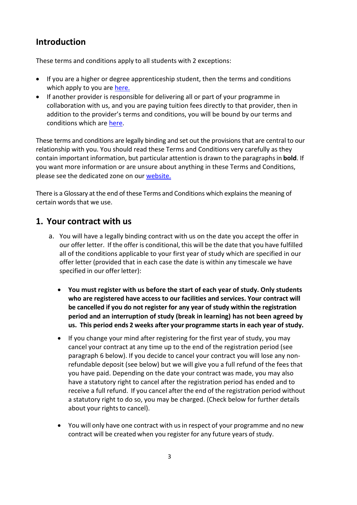## **Introduction**

These terms and conditions apply to all students with 2 exceptions:

- If you are a higher or degree apprenticeship student, then the terms and conditions which apply to you are [here.](https://beta.salford.ac.uk/student-terms-and-conditions)
- If another provider is responsible for delivering all or part of your programme in collaboration with us, and you are paying tuition fees directly to that provider, then in addition to the provider's terms and conditions, you will be bound by our terms and conditions which are [here.](https://beta.salford.ac.uk/student-terms-and-conditions)

These terms and conditions are legally binding and set out the provisions that are central to our relationship with you. You should read these Terms and Conditions very carefully as they contain important information, but particular attention is drawn to the paragraphsin **bold**. If you want more information or are unsure about anything in these Terms and Conditions, please see the dedicated zone on our [website.](https://beta.salford.ac.uk/student-terms-and-conditions)

There is a Glossary at the end of these Terms and Conditions which explainsthe meaning of certain words that we use.

## **1. Your contract with us**

- a. You will have a legally binding contract with us on the date you accept the offer in our offer letter. If the offer is conditional, this will be the date that you have fulfilled all of the conditions applicable to your first year of study which are specified in our offer letter (provided that in each case the date is within any timescale we have specified in our offer letter):
	- **You must register with us before the start of each year of study. Only students who are registered have access to our facilities and services. Your contract will be cancelled if you do not register for any year of study within the registration period and an interruption of study (break in learning) has not been agreed by us. This period ends 2 weeks after your programme starts in each year of study.**
	- If you change your mind after registering for the first year of study, you may cancel your contract at any time up to the end of the registration period (see paragraph 6 below). If you decide to cancel your contract you will lose any nonrefundable deposit (see below) but we will give you a full refund of the fees that you have paid. Depending on the date your contract was made, you may also have a statutory right to cancel after the registration period has ended and to receive a full refund. If you cancel after the end of the registration period without a statutory right to do so, you may be charged. (Check below for further details about your rights to cancel).
	- You will only have one contract with us in respect of your programme and no new contract will be created when you register for any future years of study.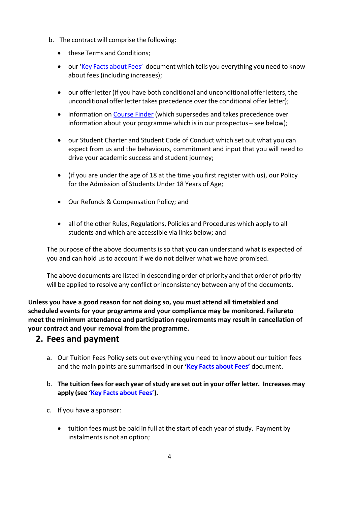- b. The contract will comprise the following:
	- these Terms and Conditions;
	- our 'Key [Facts about Fees'](https://beta.salford.ac.uk/student-terms-and-conditions) document which tells you everything you need to know about fees (including increases);
	- our offer letter (if you have both conditional and unconditional offer letters, the unconditional offer letter takes precedence over the conditional offer letter);
	- information on [Course Finder](http://www.salford.ac.uk/study/a-z-courses?result_279643_result_page=A) (which supersedes and takes precedence over information about your programme which is in our prospectus – see below);
	- our Student Charter and Student Code of Conduct which set out what you can expect from us and the behaviours, commitment and input that you will need to drive your academic success and student journey;
	- (if you are under the age of 18 at the time you first register with us), our Policy for the Admission of Students Under 18 Years of Age;
	- Our Refunds & Compensation Policy; and
	- all of the other Rules, Regulations, Policies and Procedures which apply to all students and which are accessible via links below; and

The purpose of the above documents is so that you can understand what is expected of you and can hold us to account if we do not deliver what we have promised.

The above documents are listed in descending order of priority and that order of priority will be applied to resolve any conflict or inconsistency between any of the documents.

**Unless you have a good reason for not doing so, you must attend all timetabled and scheduled events for your programme and your compliance may be monitored. Failureto meet the minimum attendance and participation requirements may result in cancellation of your contract and your removal from the programme.**

#### **2. Fees and payment**

- a. Our Tuition Fees Policy sets out everything you need to know about our tuition fees and the main points are summarised in our **'Key Facts [about](https://beta.salford.ac.uk/student-terms-and-conditions) Fees'** document.
- b. **The tuition feesfor each year ofstudy are set out in your offer letter. Increases may apply (see 'Key Facts [about](https://beta.salford.ac.uk/student-terms-and-conditions) Fees').**
- c. If you have a sponsor:
	- tuition fees must be paid in full at the start of each year of study. Payment by instalments is not an option;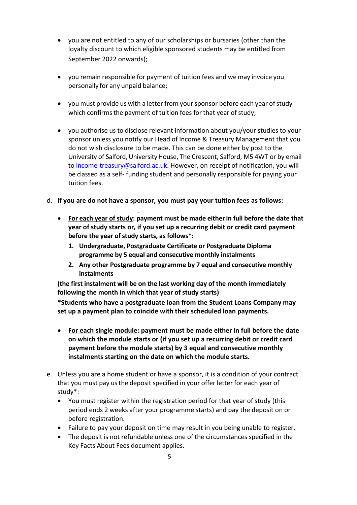- you are not entitled to any of our scholarships or bursaries (other than the loyalty discount to which eligible sponsored students may be entitled from September 2022 onwards);
- you remain responsible for payment of tuition fees and we may invoice you personally for any unpaid balance;
- you must provide us with a letter from your sponsor before each year of study which confirms the payment of tuition fees for that year of study;
- you authorise us to disclose relevant information about you/your studies to your sponsor unless you notify our Head of Income & Treasury Management that you do not wish disclosure to be made. This can be done either by post to the University of Salford, University House, The Crescent, Salford, M5 4WT or by email to [income-treasury@salford.ac.uk.](mailto:income-treasury@salford.ac.uk) However, on receipt of notification, you will be classed as a self- funding student and personally responsible for paying your tuition fees.
- d. **If you are do not have a sponsor, you must pay your tuition fees as follows:**
	- **For each year of study: payment must be made eitherin full before the date that year of study starts or, if you set up a recurring debit or credit card payment before the year of study starts, as follows\*:** 
		- **1. Undergraduate, Postgraduate Certificate or Postgraduate Diploma programme by 5 equal and consecutive monthly instalments**
		- **2. Any other Postgraduate programme by 7 equal and consecutive monthly instalments**

**(the first instalment will be on the last working day of the month immediately following the month in which that year of study starts)** 

**\*Students who have a postgraduate loan from the Student Loans Company may set up a payment plan to coincide with their scheduled loan payments.**

- **For each single module: payment must be made either in full before the date on which the module starts or (if you set up a recurring debit or credit card payment before the module starts) by 3 equal and consecutive monthly instalments starting on the date on which the module starts.**
- e. Unless you are a home student or have a sponsor, it is a condition of your contract that you must pay us the deposit specified in your offer letter for each year of study\*:
	- You must register within the registration period for that year of study (this period ends 2 weeks after your programme starts) and pay the deposit on or before registration.
	- Failure to pay your deposit on time may result in you being unable to register.
	- The deposit is not refundable unless one of the circumstances specified in the Key Facts About Fees document applies.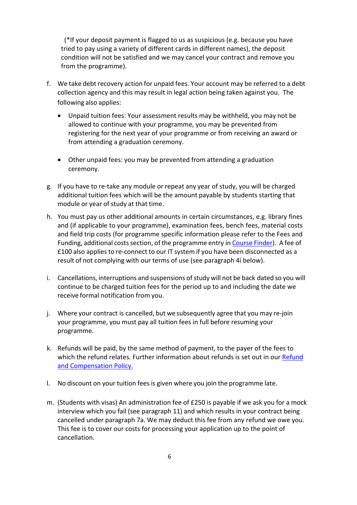(\*If your deposit payment is flagged to us as suspicious (e.g. because you have tried to pay using a variety of different cards in different names), the deposit condition will not be satisfied and we may cancel your contract and remove you from the programme).

- f. We take debt recovery action for unpaid fees. Your account may be referred to a debt collection agency and this may result in legal action being taken against you. The following also applies:
	- Unpaid tuition fees: Your assessment results may be withheld, you may not be allowed to continue with your programme, you may be prevented from registering for the next year of your programme or from receiving an award or from attending a graduation ceremony.
	- Other unpaid fees: you may be prevented from attending a graduation ceremony.
- g. If you have to re-take any module or repeat any year of study, you will be charged additional tuition fees which will be the amount payable by students starting that module or year of study at that time.
- h. You must pay us other additional amounts in certain circumstances, e.g. library fines and (if applicable to your programme), examination fees, bench fees, material costs and field trip costs (for programme specific information please refer to the Fees and Funding, additional costs section, of the programme entry in [Course](http://www.salford.ac.uk/study/a-to-z) Finder). A fee of £100 also appliesto re-connect to our IT system if you have been disconnected as a result of not complying with our terms of use (see paragraph 4i below).
- i. Cancellations, interruptions and suspensions of study will not be back dated so you will continue to be charged tuition fees for the period up to and including the date we receive formal notification from you.
- j. Where your contract is cancelled, but we subsequently agree that you may re-join your programme, you must pay all tuition fees in full before resuming your programme.
- k. Refunds will be paid, by the same method of payment, to the payer of the fees to which the refund relates. Further information about refunds is set out in our [Refund](https://beta.salford.ac.uk/student-terms-and-conditions) [and Compensation](https://beta.salford.ac.uk/student-terms-and-conditions) Policy.
- l. No discount on your tuition feesis given where you join the programme late.
- m. (Students with visas) An administration fee of £250 is payable if we ask you for a mock interview which you fail (see paragraph 11) and which results in your contract being cancelled under paragraph 7a. We may deduct this fee from any refund we owe you. This fee is to cover our costs for processing your application up to the point of cancellation.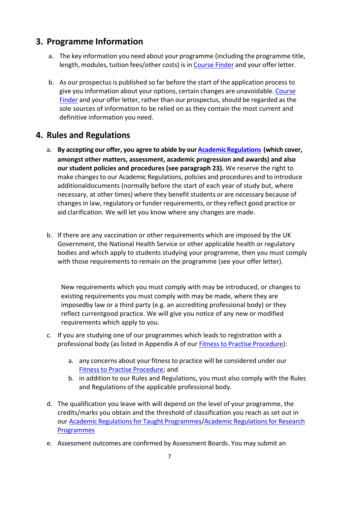## **3. Programme Information**

- a. The key information you need about your programme (including the programme title, length, modules, tuition fees/other costs) is in [Course Finder a](http://www.salford.ac.uk/study/a-to-z)nd your offer letter.
- b. As our prospectus is published so far before the start of the application process to give you information about your options, certain changes are unavoidable. [Course](http://www.salford.ac.uk/study/a-to-z) [Finder](http://www.salford.ac.uk/study/a-to-z) and your offer letter, rather than our prospectus, should be regarded as the sole sources of information to be relied on as they contain the most current and definitive information you need.

## **4. Rules and Regulations**

- a. **By accepting our offer, you agree to abide by our [AcademicRegulations](https://beta.salford.ac.uk/student-terms-and-conditions) (which cover, amongst other matters, assessment, academic progression and awards) and also our student policies and procedures (see paragraph 23).** We reserve the right to make changesto our Academic Regulations, policies and procedures and to introduce additional documents (normally before the start of each year of study but, where necessary, at other times) where they benefit students or are necessary because of changes in law, regulatory or funder requirements, or they reflect good practice or aid clarification. We will let you know where any changes are made.
- b. If there are any vaccination or other requirements which are imposed by the UK Government, the National Health Service or other applicable health or regulatory bodies and which apply to students studying your programme, then you must comply with those requirements to remain on the programme (see your offer letter).

New requirements which you must comply with may be introduced, or changes to existing requirements you must comply with may be made, where they are imposedby law or a third party (e.g. an accrediting professional body) or they reflect currentgood practice. We will give you notice of any new or modified requirements which apply to you.

- c. If you are studying one of our programmes which leads to registration with a professional body (as listed in Appendix A of our **[Fitness to Practise](https://beta.salford.ac.uk/governance-and-management/student-facing-policies-and-procedures) Procedure**):
	- a. any concerns about your fitness to practice will be considered under our [Fitness to Practise](https://beta.salford.ac.uk/governance-and-management/student-facing-policies-and-procedures) Procedure; and
	- b. in addition to our Rules and Regulations, you must also comply with the Rules and Regulations of the applicable professional body.
- d. The qualification you leave with will depend on the level of your programme, the credits/marks you obtain and the threshold of classification you reach as set out in our **Academic Regulations for Taught Programmes/Academic Regulations for Research** [Programmes](http://www.salford.ac.uk/__data/assets/pdf_file/0003/1258626/AcademicRegulationsResearch1718.pdf)
- e. Assessment outcomes are confirmed by Assessment Boards. You may submit an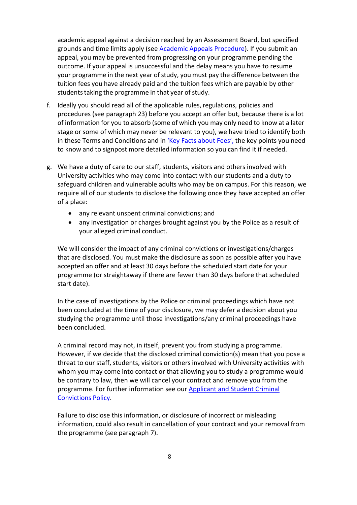academic appeal against a decision reached by an Assessment Board, but specified grounds and time limits apply (see [Academic Appeals Procedure\)](https://beta.salford.ac.uk/governance-and-management/student-facing-policies-and-procedures). If you submit an appeal, you may be prevented from progressing on your programme pending the outcome. If your appeal is unsuccessful and the delay means you have to resume your programme in the next year of study, you must pay the difference between the tuition fees you have already paid and the tuition fees which are payable by other students taking the programme in that year of study.

- f. Ideally you should read all of the applicable rules, regulations, policies and procedures (see paragraph 23) before you accept an offer but, because there is a lot of information for you to absorb (some of which you may only need to know at a later stage or some of which may never be relevant to you), we have tried to identify both in these Terms and Conditions and in ['Key Facts about Fees',](https://beta.salford.ac.uk/student-terms-and-conditions) the key points you need to know and to signpost more detailed information so you can find it if needed.
- g. We have a duty of care to our staff, students, visitors and others involved with University activities who may come into contact with our students and a duty to safeguard children and vulnerable adults who may be on campus. For this reason, we require all of our students to disclose the following once they have accepted an offer of a place:
	- any relevant unspent criminal convictions; and
	- any investigation or charges brought against you by the Police as a result of your alleged criminal conduct.

We will consider the impact of any criminal convictions or investigations/charges that are disclosed. You must make the disclosure as soon as possible after you have accepted an offer and at least 30 days before the scheduled start date for your programme (or straightaway if there are fewer than 30 days before that scheduled start date).

In the case of investigations by the Police or criminal proceedings which have not been concluded at the time of your disclosure, we may defer a decision about you studying the programme until those investigations/any criminal proceedings have been concluded.

A criminal record may not, in itself, prevent you from studying a programme. However, if we decide that the disclosed criminal conviction(s) mean that you pose a threat to our staff, students, visitors or others involved with University activities with whom you may come into contact or that allowing you to study a programme would be contrary to law, then we will cancel your contract and remove you from the programme. For further information see our [Applicant and Student Criminal](https://beta.salford.ac.uk/askus/admin-essentials/applicant-and-student-criminal-and-conviction-policy-and-procedure) [Convictions Policy.](https://beta.salford.ac.uk/student-terms-and-conditions)

Failure to disclose this information, or disclosure of incorrect or misleading information, could also result in cancellation of your contract and your removal from the programme (see paragraph 7).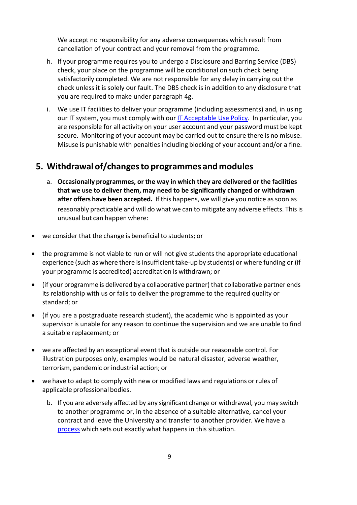We accept no responsibility for any adverse consequences which result from cancellation of your contract and your removal from the programme.

- h. If your programme requires you to undergo a Disclosure and Barring Service (DBS) check, your place on the programme will be conditional on such check being satisfactorily completed. We are not responsible for any delay in carrying out the check unless it is solely our fault. The DBS check is in addition to any disclosure that you are required to make under paragraph 4g.
- i. We use IT facilities to deliver your programme (including assessments) and, in using our IT system, you must comply with our [IT Acceptable Use](https://beta.salford.ac.uk/student-terms-and-conditions) Policy. In particular, you are responsible for all activity on your user account and your password must be kept secure. Monitoring of your account may be carried out to ensure there is no misuse. Misuse is punishable with penalties including blocking of your account and/or a fine.

#### **5. Withdrawal of/changesto programmes and modules**

- a. **Occasionally programmes, or the way in which they are delivered or the facilities that we use to deliver them, may need to be significantly changed or withdrawn after offers have been accepted.** If this happens, we will give you notice assoon as reasonably practicable and will do what we can to mitigate any adverse effects. This is unusual but can happen where:
- we consider that the change is beneficial to students; or
- the programme is not viable to run or will not give students the appropriate educational experience (such as where there isinsufficient take-up by students) or where funding or (if your programme is accredited) accreditation is withdrawn; or
- (if your programme is delivered by a collaborative partner) that collaborative partner ends its relationship with us or fails to deliver the programme to the required quality or standard; or
- (if you are a postgraduate research student), the academic who is appointed as your supervisor is unable for any reason to continue the supervision and we are unable to find a suitable replacement; or
- we are affected by an exceptional event that is outside our reasonable control. For illustration purposes only, examples would be natural disaster, adverse weather, terrorism, pandemic or industrial action; or
- we have to adapt to comply with new or modified laws and regulations or rules of applicable professional bodies.
	- b. If you are adversely affected by any significant change or withdrawal, you may switch to another programme or, in the absence of a suitable alternative, cancel your contract and leave the University and transfer to another provider. We have a [process](https://beta.salford.ac.uk/askus/admin-essentials/interruptions-transfers-and-withdrawals) which sets out exactly what happens in this situation.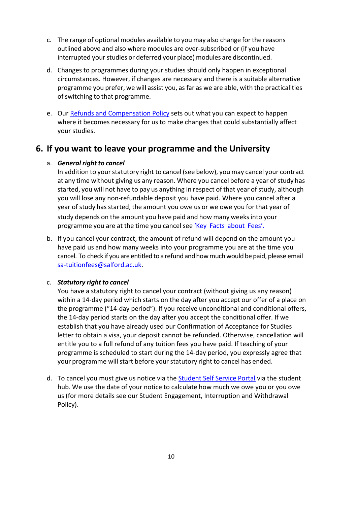- c. The range of optional modules available to you may also change for the reasons outlined above and also where modules are over-subscribed or (if you have interrupted your studies or deferred your place) modules are discontinued.
- d. Changes to programmes during your studies should only happen in exceptional circumstances. However, if changes are necessary and there is a suitable alternative programme you prefer, we will assist you, as far as we are able, with the practicalities of switching to that programme.
- e. Our [Refunds and Compensation Policy](https://beta.salford.ac.uk/student-terms-and-conditions) sets out what you can expect to happen where it becomes necessary for us to make changes that could substantially affect your studies.

#### **6. If you want to leave your programme and the University**

#### a. *General right to cancel*

In addition to your statutory right to cancel (see below), you may cancel your contract at any time without giving us any reason. Where you cancel before a year of study has started, you will not have to pay us anything in respect of that year of study, although you will lose any non-refundable deposit you have paid. Where you cancel after a year of study has started, the amount you owe us or we owe you for that year of study depends on the amount you have paid and how many weeks into your programme you are at the time you cancel see 'Key [Facts about Fees'](https://beta.salford.ac.uk/student-terms-and-conditions).

b. If you cancel your contract, the amount of refund will depend on the amount you have paid us and how many weeks into your programme you are at the time you cancel. To check if you are entitled to a refund and how much would be paid, please email [sa-tuitionfees@salford.ac.uk.](mailto:sa-tuitionfees@salford.ac.uk)

#### $c.$  *Statutory right to cancel*

You have a statutory right to cancel your contract (without giving us any reason) within a 14-day period which starts on the day after you accept our offer of a place on the programme ("14-day period"). If you receive unconditional and conditional offers, the 14-day period starts on the day after you accept the conditional offer. If we establish that you have already used our Confirmation of Acceptance for Studies letter to obtain a visa, your deposit cannot be refunded. Otherwise, cancellation will entitle you to a full refund of any tuition fees you have paid. If teaching of your programme is scheduled to start during the 14-day period, you expressly agree that your programme will start before your statutory right to cancel has ended.

d. To cancel you must give us notice via the [Student Self Service Portal](https://www.salford.ac.uk/askus) via the student hub. We use the date of your notice to calculate how much we owe you or you owe us (for more details see our Student Engagement, Interruption and Withdrawal Policy).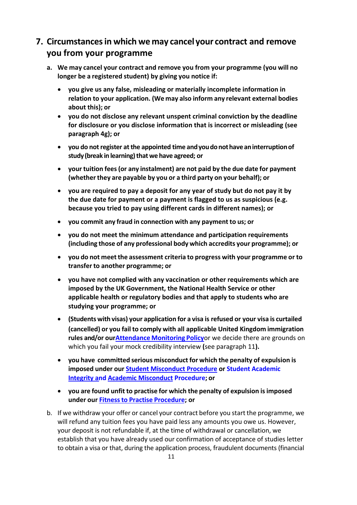## **7. Circumstancesin which we may cancel your contract and remove you from your programme**

- **a. We may cancel your contract and remove you from your programme (you will no longer be a registered student) by giving you notice if:**
	- **you give us any false, misleading or materially incomplete information in relation to your application. (We may also inform any relevant external bodies about this); or**
	- **you do not disclose any relevant unspent criminal conviction by the deadline for disclosure or you disclose information that is incorrect or misleading (see paragraph 4g); or**
	- **you do notregister atthe appointed time andyoudonothaveaninterruptionof study(break in learning)thatwe have agreed; or**
	- **your tuition fees(or any instalment) are not paid by the due date for payment (whetherthey are payable by you or a third party on your behalf); or**
	- **you are required to pay a deposit for any year of study but do not pay it by the due date for payment or a payment is flagged to us as suspicious (e.g. because you tried to pay using different cards in different names); or**
	- **you commit any fraud in connection with any payment to us; or**
	- **you do not meet the minimum attendance and participation requirements (including those of any professional body which accredits your programme); or**
	- **you do not meetthe assessment criteria to progress with your programme or to transfer to another programme; or**
	- **you have not complied with any vaccination or other requirements which are imposed by the UK Government, the National Health Service or other applicable health or regulatory bodies and that apply to students who are studying your programme; or**
	- **(Students with visas) your application for a visa is refused or your visa is curtailed (cancelled) or you fail to comply with all applicable United Kingdom immigration rules and/or ou[rAttendance](https://beta.salford.ac.uk/student-terms-and-conditions) Monitoring Policy**or we decide there are grounds on which you fail your mock credibility interview **(**see paragraph 11**).**
	- **you have committed serious misconduct for which the penalty of expulsion is imposed under our [Student Misconduct](https://beta.salford.ac.uk/student-terms-and-conditions) Procedure or Student Academic Integrity and [Academic Misconduct](https://beta.salford.ac.uk/student-terms-and-conditions) [Procedure;](http://www.salford.ac.uk/__data/assets/pdf_file/0005/653648/AcademicMisconductProcedure.pdf) or**
	- **you are found unfit to practise for which the penalty of expulsion isimposed under our Fitnessto Practise [Procedure;](https://beta.salford.ac.uk/student-terms-and-conditions) or**
- b. If we withdraw your offer or cancel your contract before you start the programme, we will refund any tuition fees you have paid less any amounts you owe us. However, your deposit is not refundable if, at the time of withdrawal or cancellation, we establish that you have already used our confirmation of acceptance of studies letter to obtain a visa or that, during the application process, fraudulent documents (financial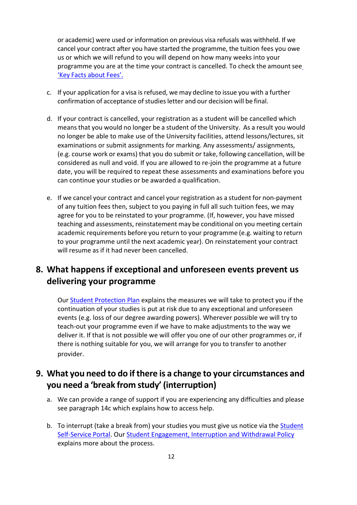or academic) were used or information on previous visa refusals was withheld. If we cancel your contract after you have started the programme, the tuition fees you owe us or which we will refund to you will depend on how many weeks into your programme you are at the time your contract is cancelled. To check the amount se[e](https://beta.salford.ac.uk/student-terms-and-conditions) 'Key [Facts about Fees'.](https://beta.salford.ac.uk/student-terms-and-conditions)

- c. If your application for a visa isrefused, we may decline to issue you with a further confirmation of acceptance of studies letter and our decision will be final.
- d. If your contract is cancelled, your registration as a student will be cancelled which means that you would no longer be a student of the University. As a result you would no longer be able to make use of the University facilities, attend lessons/lectures, sit examinations or submit assignments for marking. Any assessments/ assignments, (e.g. course work or exams) that you do submit or take, following cancellation, will be considered as null and void. If you are allowed to re-join the programme at a future date, you will be required to repeat these assessments and examinations before you can continue your studies or be awarded a qualification.
- e. If we cancel your contract and cancel your registration as a student for non-payment of any tuition fees then, subject to you paying in full all such tuition fees, we may agree for you to be reinstated to your programme. (If, however, you have missed teaching and assessments, reinstatement may be conditional on you meeting certain academic requirements before you return to your programme (e.g. waiting to return to your programme until the next academic year). On reinstatement your contract will resume as if it had never been cancelled.

## **8. What happens if exceptional and unforeseen events prevent us delivering your programme**

Our [Student Protection Plan](https://beta.salford.ac.uk/student-terms-and-conditions) explains the measures we will take to protect you if the continuation of your studies is put at risk due to any exceptional and unforeseen events (e.g. loss of our degree awarding powers). Wherever possible we will try to teach-out your programme even if we have to make adjustments to the way we deliver it. If that is not possible we will offer you one of our other programmes or, if there is nothing suitable for you, we will arrange for you to transfer to another provider.

## **9. What you need to do if there is a change to your circumstances and you need a 'break from study' (interruption)**

- a. We can provide a range of support if you are experiencing any difficulties and please see paragraph 14c which explains how to access help.
- b. To interrupt (take a break from) your studies you must give us notice via the [Student](https://beta.salford.ac.uk/student-terms-and-conditions) [Self-Service](https://www.salford.ac.uk/askus) Portal. Our [Student Engagement, Interruption and Withdrawal Policy](https://beta.salford.ac.uk/student-terms-and-conditions) explains more about the process.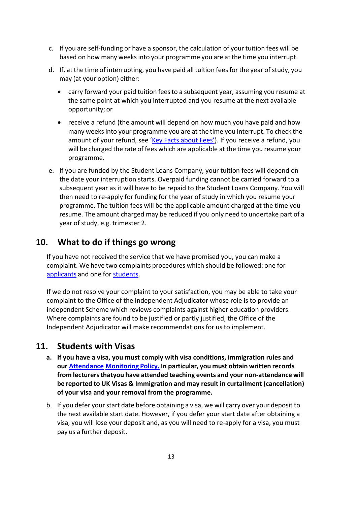- c. If you are self-funding or have a sponsor, the calculation of your tuition fees will be based on how many weeks into your programme you are at the time you interrupt.
- d. If, at the time of interrupting, you have paid all tuition feesfor the year of study, you may (at your option) either:
	- carry forward your paid tuition fees to a subsequent year, assuming you resume at the same point at which you interrupted and you resume at the next available opportunity; or
	- receive a refund (the amount will depend on how much you have paid and how many weeksinto your programme you are at the time you interrupt. To check the amount of your refund, see ['Key Facts about Fees'\)](https://beta.salford.ac.uk/student-terms-and-conditions). If you receive a refund, you will be charged the rate of fees which are applicable at the time you resume your programme.
- e. If you are funded by the Student Loans Company, your tuition fees will depend on the date your interruption starts. Overpaid funding cannot be carried forward to a subsequent year as it will have to be repaid to the Student Loans Company. You will then need to re-apply for funding for the year of study in which you resume your programme. The tuition fees will be the applicable amount charged at the time you resume. The amount charged may be reduced if you only need to undertake part of a year of study, e.g. trimester 2.

## **10. What to do if things go wrong**

If you have not received the service that we have promised you, you can make a complaint. We have two complaints procedures which should be followed: one for [applicants a](https://beta.salford.ac.uk/student-terms-and-conditions)nd one for [students.](https://beta.salford.ac.uk/student-terms-and-conditions)

If we do not resolve your complaint to your satisfaction, you may be able to take your complaint to the Office of the Independent Adjudicator whose role is to provide an independent Scheme which reviews complaints against higher education providers. Where complaints are found to be justified or partly justified, the Office of the Independent Adjudicator will make recommendations for us to implement.

## **11. Students with Visas**

- **a. If you have a visa, you must comply with visa conditions, immigration rules and our [Attendance](https://beta.salford.ac.uk/student-terms-and-conditions) [Monitoring](https://beta.salford.ac.uk/student-terms-and-conditions) Policy. In particular, you must obtain written records from lecturersthatyou have attended teaching events and your non-attendance will be reported to UK Visas & Immigration and may result in curtailment (cancellation) of your visa and your removal from the programme.**
- b. If you defer your start date before obtaining a visa, we will carry over your deposit to the next available start date. However, if you defer your start date after obtaining a visa, you will lose your deposit and, as you will need to re-apply for a visa, you must pay us a further deposit.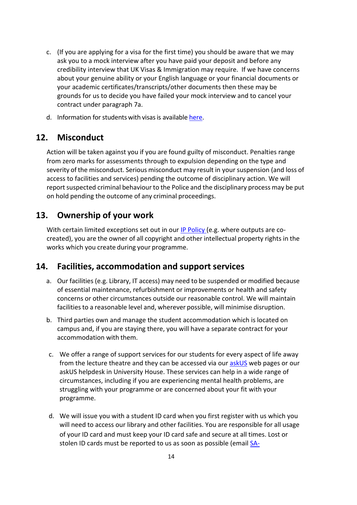- c. (If you are applying for a visa for the first time) you should be aware that we may ask you to a mock interview after you have paid your deposit and before any credibility interview that UK Visas & Immigration may require. If we have concerns about your genuine ability or your English language or your financial documents or your academic certificates/transcripts/other documents then these may be grounds for us to decide you have failed your mock interview and to cancel your contract under paragraph 7a.
- d. Information for students with visas is available [here.](https://beta.salford.ac.uk/student-terms-and-conditions)

## **12. Misconduct**

Action will be taken against you if you are found guilty of misconduct. Penalties range from zero marks for assessments through to expulsion depending on the type and severity of the misconduct. Serious misconduct may result in your suspension (and loss of access to facilities and services) pending the outcome of disciplinary action. We will report suspected criminal behaviour to the Police and the disciplinary process may be put on hold pending the outcome of any criminal proceedings.

## **13. Ownership of your work**

With certain limited exceptions set out in our [IP Policy \(](https://beta.salford.ac.uk/student-terms-and-conditions)e.g. where outputs are cocreated), you are the owner of all copyright and other intellectual property rights in the works which you create during your programme.

## **14. Facilities, accommodation and support services**

- a. Our facilities (e.g. Library, IT access) may need to be suspended or modified because of essential maintenance, refurbishment or improvements or health and safety concerns or other circumstances outside our reasonable control. We will maintain facilities to a reasonable level and, wherever possible, will minimise disruption.
- b. Third parties own and manage the student accommodation which is located on campus and, if you are staying there, you will have a separate contract for your accommodation with them.
- c. We offer a range of support services for our students for every aspect of life away from the lecture theatre and they can be accessed via our [askUS](https://www.salford.ac.uk/askus) web pages or our askUS helpdesk in University House. These services can help in a wide range of circumstances, including if you are experiencing mental health problems, are struggling with your programme or are concerned about your fit with your programme.
- d. We will issue you with a student ID card when you first register with us which you will need to access our library and other facilities. You are responsible for all usage of your ID card and must keep your ID card safe and secure at all times. Lost or stolen ID cards must be reported to us as soon as possible (email [SA-](mailto:SA-IDCards@salford.ac.uk)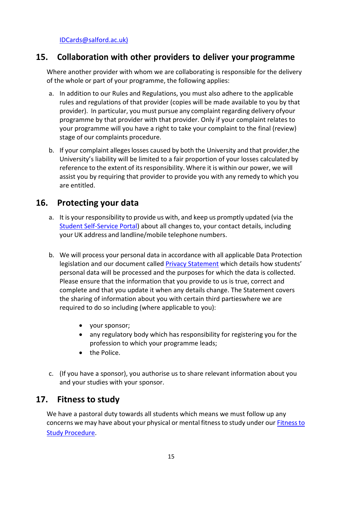[IDCards@salford.ac.uk\)](mailto:SA-IDCards@salford.ac.uk)

#### **15. Collaboration with other providers to deliver your programme**

Where another provider with whom we are collaborating is responsible for the delivery of the whole or part of your programme, the following applies:

- a. In addition to our Rules and Regulations, you must also adhere to the applicable rules and regulations of that provider (copies will be made available to you by that provider). In particular, you must pursue any complaint regarding delivery of your programme by that provider with that provider. Only if your complaint relates to your programme will you have a right to take your complaint to the final (review) stage of our complaints procedure.
- b. If your complaint allegeslosses caused by both the University and that provider, the University's liability will be limited to a fair proportion of your losses calculated by reference to the extent of its responsibility. Where it is within our power, we will assist you by requiring that provider to provide you with any remedy to which you are entitled.

#### **16. Protecting your data**

- a. It is your responsibility to provide us with, and keep us promptly updated (via the [Student Self-Service Portal\)](https://www.salford.ac.uk/askus) about all changes to, your contact details, including your UK address and landline/mobile telephone numbers.
- b. We will process your personal data in accordance with all applicable Data Protection legislation and our document called [Privacy Statement](https://beta.salford.ac.uk/privacy/privacy-notice-students) which details how students' personal data will be processed and the purposes for which the data is collected. Please ensure that the information that you provide to us is true, correct and complete and that you update it when any details change. The Statement covers the sharing of information about you with certain third partieswhere we are required to do so including (where applicable to you):
	- your sponsor;
	- any regulatory body which has responsibility for registering you for the profession to which your programme leads;
	- the Police.
- c. (If you have a sponsor), you authorise us to share relevant information about you and your studies with your sponsor.

#### **17. Fitness to study**

We have a pastoral duty towards all students which means we must follow up any concerns we may have about your physical or mental fitness to study under our [Fitness to](https://beta.salford.ac.uk/student-terms-and-conditions) [Study](https://beta.salford.ac.uk/student-terms-and-conditions) [Procedure.](http://www.salford.ac.uk/__data/assets/pdf_file/0009/653688/FitnessToStudyProcedure.pdf)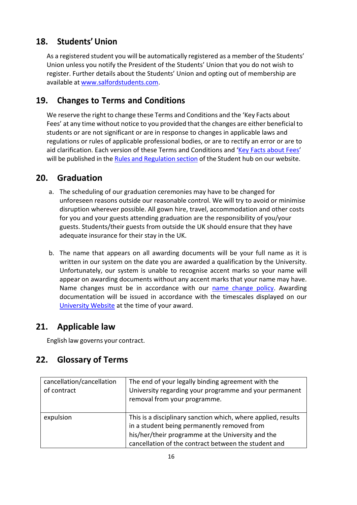## **18. Students' Union**

As a registered student you will be automatically registered as a member of the Students' Union unless you notify the President of the Students' Union that you do not wish to register. Further details about the Students' Union and opting out of membership are available at [www.salfordstudents.com.](http://www.salfordstudents.com/)

## **19. Changes to Terms and Conditions**

We reserve the right to change these Terms and Conditions and the 'Key Facts about Fees' at any time without notice to you provided that the changes are either beneficial to students or are not significant or are in response to changes in applicable laws and regulations or rules of applicable professional bodies, or are to rectify an error or are to aid clarification. Each version of these Terms and Conditions and ['Key Facts about Fees'](https://beta.salford.ac.uk/student-terms-and-conditions) will be published in the [Rules and Regulation](https://beta.salford.ac.uk/student-terms-and-conditions) section of the Student hub on our website.

## **20. Graduation**

- a. The scheduling of our graduation ceremonies may have to be changed for unforeseen reasons outside our reasonable control. We will try to avoid or minimise disruption wherever possible. All gown hire, travel, accommodation and other costs for you and your guests attending graduation are the responsibility of you/your guests. Students/their guests from outside the UK should ensure that they have adequate insurance for their stay in the UK.
- b. The name that appears on all awarding documents will be your full name as it is written in our system on the date you are awarded a qualification by the University. Unfortunately, our system is unable to recognise accent marks so your name will appear on awarding documents without any accent marks that your name may have. Name changes must be in accordance with our [name change policy.](https://beta.salford.ac.uk/student-terms-and-conditions) Awarding documentation will be issued in accordance with the timescales displayed on our [University Website a](https://beta.salford.ac.uk/student-terms-and-conditions)t the time of your award.

## **21. Applicable law**

English law governs your contract.

## **22. Glossary of Terms**

| cancellation/cancellation<br>of contract | The end of your legally binding agreement with the<br>University regarding your programme and your permanent<br>removal from your programme.                                                                              |
|------------------------------------------|---------------------------------------------------------------------------------------------------------------------------------------------------------------------------------------------------------------------------|
| expulsion                                | This is a disciplinary sanction which, where applied, results<br>in a student being permanently removed from<br>his/her/their programme at the University and the<br>cancellation of the contract between the student and |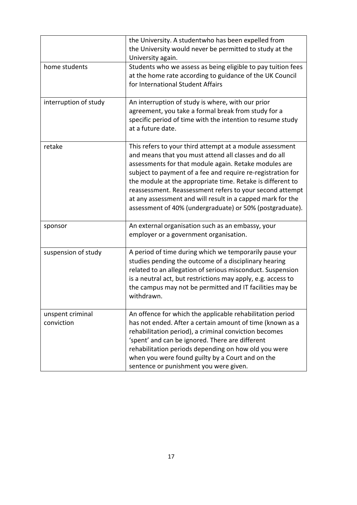|                                | the University. A studentwho has been expelled from<br>the University would never be permitted to study at the<br>University again.                                                                                                                                                                                                                                                                                                                                                           |
|--------------------------------|-----------------------------------------------------------------------------------------------------------------------------------------------------------------------------------------------------------------------------------------------------------------------------------------------------------------------------------------------------------------------------------------------------------------------------------------------------------------------------------------------|
| home students                  | Students who we assess as being eligible to pay tuition fees<br>at the home rate according to guidance of the UK Council<br>for International Student Affairs                                                                                                                                                                                                                                                                                                                                 |
| interruption of study          | An interruption of study is where, with our prior<br>agreement, you take a formal break from study for a<br>specific period of time with the intention to resume study<br>at a future date.                                                                                                                                                                                                                                                                                                   |
| retake                         | This refers to your third attempt at a module assessment<br>and means that you must attend all classes and do all<br>assessments for that module again. Retake modules are<br>subject to payment of a fee and require re-registration for<br>the module at the appropriate time. Retake is different to<br>reassessment. Reassessment refers to your second attempt<br>at any assessment and will result in a capped mark for the<br>assessment of 40% (undergraduate) or 50% (postgraduate). |
| sponsor                        | An external organisation such as an embassy, your<br>employer or a government organisation.                                                                                                                                                                                                                                                                                                                                                                                                   |
| suspension of study            | A period of time during which we temporarily pause your<br>studies pending the outcome of a disciplinary hearing<br>related to an allegation of serious misconduct. Suspension<br>is a neutral act, but restrictions may apply, e.g. access to<br>the campus may not be permitted and IT facilities may be<br>withdrawn.                                                                                                                                                                      |
| unspent criminal<br>conviction | An offence for which the applicable rehabilitation period<br>has not ended. After a certain amount of time (known as a<br>rehabilitation period), a criminal conviction becomes<br>'spent' and can be ignored. There are different<br>rehabilitation periods depending on how old you were<br>when you were found guilty by a Court and on the<br>sentence or punishment you were given.                                                                                                      |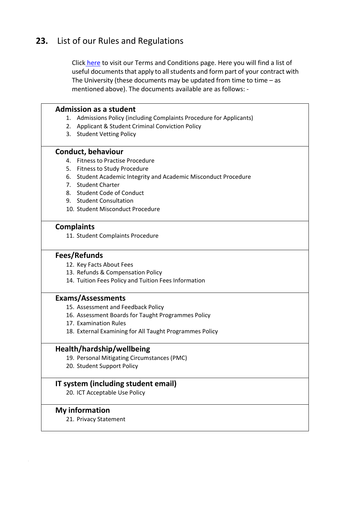## **23.** List of our Rules and Regulations

Click [here](https://beta.salford.ac.uk/student-terms-and-conditions) to visit our Terms and Conditions page. Here you will find a list of useful documents that apply to all students and form part of your contract with The University (these documents may be updated from time to time  $-$  as mentioned above). The documents available are as follows: -

#### **Admission as a student**

- 1. Admissions Policy (including Complaints Procedure for Applicants)
- 2. Applicant & Student Criminal Conviction Policy
- 3. Student Vetting Policy

#### **Conduct, behaviour**

- 4. Fitness to Practise Procedure
- 5. Fitness to Study Procedure
- 6. Student Academic Integrity and Academic Misconduct Procedure
- 7. Student Charter
- 8. Student Code of Conduct
- 9. Student Consultation
- 10. Student Misconduct Procedure

#### **Complaints**

11. Student Complaints Procedure

#### **Fees/Refunds**

- 12. Key Facts About Fees
- 13. Refunds & Compensation Policy
- 14. Tuition Fees Policy and Tuition Fees Information

#### **Exams/Assessments**

- 15. Assessment and Feedback Policy
- 16. Assessment Boards for Taught Programmes Policy
- 17. Examination Rules
- 18. External Examining for All Taught Programmes Policy

#### **Health/hardship/wellbeing**

- 19. Personal Mitigating Circumstances (PMC)
- 20. Student Support Policy

#### **IT system (including student email)**

20. ICT Acceptable Use Policy

#### **My information**

21. Privacy Statement